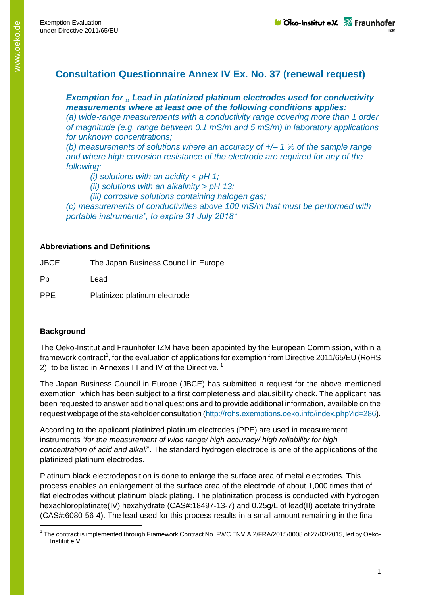# **Consultation Questionnaire Annex IV Ex. No. 37 (renewal request)**

## *Exemption for " Lead in platinized platinum electrodes used for conductivity measurements where at least one of the following conditions applies:*

*(a) wide-range measurements with a conductivity range covering more than 1 order of magnitude (e.g. range between 0.1 mS/m and 5 mS/m) in laboratory applications for unknown concentrations;*

*(b) measurements of solutions where an accuracy of +/– 1 % of the sample range and where high corrosion resistance of the electrode are required for any of the following:*

*(i) solutions with an acidity < pH 1;*

*(ii) solutions with an alkalinity > pH 13;*

*(iii) corrosive solutions containing halogen gas;*

*(c) measurements of conductivities above 100 mS/m that must be performed with portable instruments", to expire 31 July 2018"*

### **Abbreviations and Definitions**

JBCE The Japan Business Council in Europe

Pb Lead

PPE Platinized platinum electrode

### **Background**

-

The Oeko-Institut and Fraunhofer IZM have been appointed by the European Commission, within a framework contract<sup>1</sup>, for the evaluation of applications for exemption from Directive 2011/65/EU (RoHS 2), to be listed in Annexes III and IV of the Directive.<sup>1</sup>

The Japan Business Council in Europe (JBCE) has submitted a request for the above mentioned exemption, which has been subject to a first completeness and plausibility check. The applicant has been requested to answer additional questions and to provide additional information, available on the request webpage of the stakeholder consultation (http://rohs.exemptions.oeko.info/index.php?id=286).

According to the applicant platinized platinum electrodes (PPE) are used in measurement instruments "*for the measurement of wide range/ high accuracy/ high reliability for high concentration of acid and alkali*". The standard hydrogen electrode is one of the applications of the platinized platinum electrodes.

Platinum black electrodeposition is done to enlarge the surface area of metal electrodes. This process enables an enlargement of the surface area of the electrode of about 1,000 times that of flat electrodes without platinum black plating. The platinization process is conducted with hydrogen hexachloroplatinate(IV) hexahydrate (CAS#:18497-13-7) and 0.25g/L of lead(II) acetate trihydrate (CAS#:6080-56-4). The lead used for this process results in a small amount remaining in the final

<sup>&</sup>lt;sup>1</sup> The contract is implemented through Framework Contract No. FWC ENV.A.2/FRA/2015/0008 of 27/03/2015, led by Oeko-Institut e.V.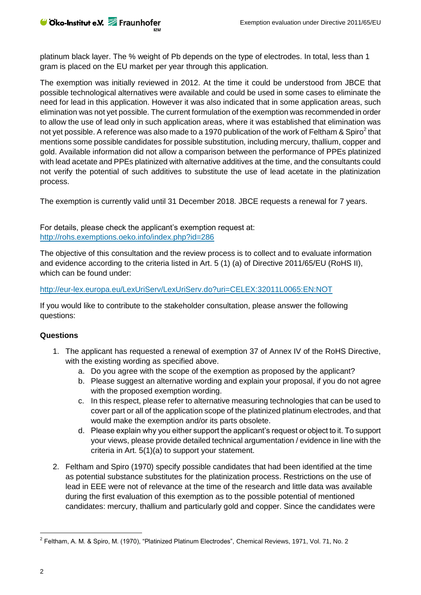platinum black layer. The % weight of Pb depends on the type of electrodes. In total, less than 1 gram is placed on the EU market per year through this application.

The exemption was initially reviewed in 2012. At the time it could be understood from JBCE that possible technological alternatives were available and could be used in some cases to eliminate the need for lead in this application. However it was also indicated that in some application areas, such elimination was not yet possible. The current formulation of the exemption was recommended in order to allow the use of lead only in such application areas, where it was established that elimination was not yet possible. A reference was also made to a 1970 publication of the work of Feltham & Spiro<sup>2</sup> that mentions some possible candidates for possible substitution, including mercury, thallium, copper and gold. Available information did not allow a comparison between the performance of PPEs platinized with lead acetate and PPEs platinized with alternative additives at the time, and the consultants could not verify the potential of such additives to substitute the use of lead acetate in the platinization process.

The exemption is currently valid until 31 December 2018. JBCE requests a renewal for 7 years.

For details, please check the applicant's exemption request at: <http://rohs.exemptions.oeko.info/index.php?id=286>

The objective of this consultation and the review process is to collect and to evaluate information and evidence according to the criteria listed in Art. 5 (1) (a) of Directive 2011/65/EU (RoHS II), which can be found under:

#### <http://eur-lex.europa.eu/LexUriServ/LexUriServ.do?uri=CELEX:32011L0065:EN:NOT>

If you would like to contribute to the stakeholder consultation, please answer the following questions:

#### **Questions**

- 1. The applicant has requested a renewal of exemption 37 of Annex IV of the RoHS Directive, with the existing wording as specified above.
	- a. Do you agree with the scope of the exemption as proposed by the applicant?
	- b. Please suggest an alternative wording and explain your proposal, if you do not agree with the proposed exemption wording.
	- c. In this respect, please refer to alternative measuring technologies that can be used to cover part or all of the application scope of the platinized platinum electrodes, and that would make the exemption and/or its parts obsolete.
	- d. Please explain why you either support the applicant's request or object to it. To support your views, please provide detailed technical argumentation / evidence in line with the criteria in Art. 5(1)(a) to support your statement.
- 2. Feltham and Spiro (1970) specify possible candidates that had been identified at the time as potential substance substitutes for the platinization process. Restrictions on the use of lead in EEE were not of relevance at the time of the research and little data was available during the first evaluation of this exemption as to the possible potential of mentioned candidates: mercury, thallium and particularly gold and copper. Since the candidates were

-

<sup>&</sup>lt;sup>2</sup> Feltham, A. M. & Spiro, M. (1970), "Platinized Platinum Electrodes", Chemical Reviews, 1971, Vol. 71, No. 2